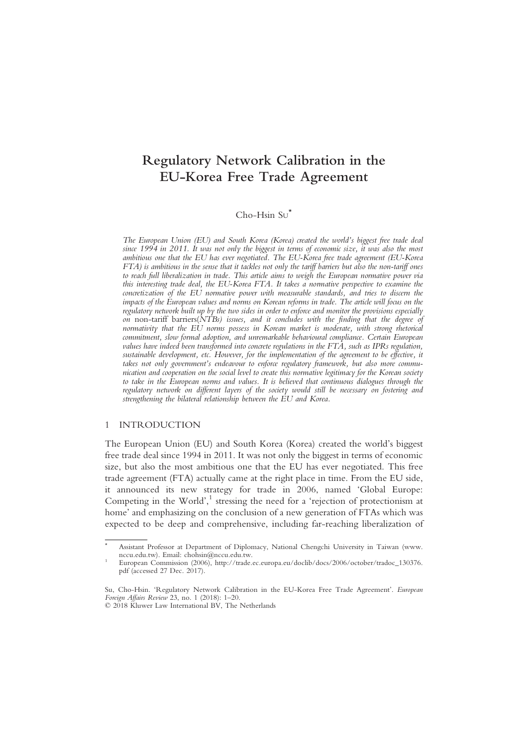# Regulatory Network Calibration in the EU-Korea Free Trade Agreement

# $Cho-Hsin St<sup>*</sup>$

The European Union (EU) and South Korea (Korea) created the world's biggest free trade deal since 1994 in 2011. It was not only the biggest in terms of economic size, it was also the most ambitious one that the EU has ever negotiated. The EU-Korea free trade agreement (EU-Korea FTA) is ambitious in the sense that it tackles not only the tariff barriers but also the non-tariff ones to reach full liberalization in trade. This article aims to weigh the European normative power via this interesting trade deal, the EU-Korea FTA. It takes a normative perspective to examine the concretization of the EU normative power with measurable standards, and tries to discern the impacts of the European values and norms on Korean reforms in trade. The article will focus on the regulatory network built up by the two sides in order to enforce and monitor the provisions especially on non-tariff barriers( $\overline{NTBs}$ ) issues, and it concludes with the finding that the degree of normativity that the  $E\dot{U}$  norms possess in Korean market is moderate, with strong rhetorical commitment, slow formal adoption, and unremarkable behavioural compliance. Certain European values have indeed been transformed into concrete regulations in the FTA, such as IPRs regulation, sustainable development, etc. However, for the implementation of the agreement to be effective, it takes not only government's endeavour to enforce regulatory framework, but also more communication and cooperation on the social level to create this normative legitimacy for the Korean society to take in the European norms and values. It is believed that continuous dialogues through the regulatory network on different layers of the society would still be necessary on fostering and strengthening the bilateral relationship between the EU and Korea.

#### 1 INTRODUCTION

The European Union (EU) and South Korea (Korea) created the world's biggest free trade deal since 1994 in 2011. It was not only the biggest in terms of economic size, but also the most ambitious one that the EU has ever negotiated. This free trade agreement (FTA) actually came at the right place in time. From the EU side, it announced its new strategy for trade in 2006, named 'Global Europe: Competing in the World',<sup>1</sup> stressing the need for a 'rejection of protectionism at home' and emphasizing on the conclusion of a new generation of FTAs which was expected to be deep and comprehensive, including far-reaching liberalization of

<sup>\*</sup> Assistant Professor at Department of Diplomacy, National Chengchi University in Taiwan (www. nccu.edu.tw). Email: chohsin@nccu.edu.tw. <sup>1</sup> European Commission (2006), http://trade.ec.europa.eu/doclib/docs/2006/october/tradoc\_130376.

pdf (accessed 27 Dec. 2017).

Su, Cho-Hsin. 'Regulatory Network Calibration in the EU-Korea Free Trade Agreement'. European Foreign Affairs Review 23, no. 1 (2018): 1–20.

<sup>© 2018</sup> Kluwer Law International BV, The Netherlands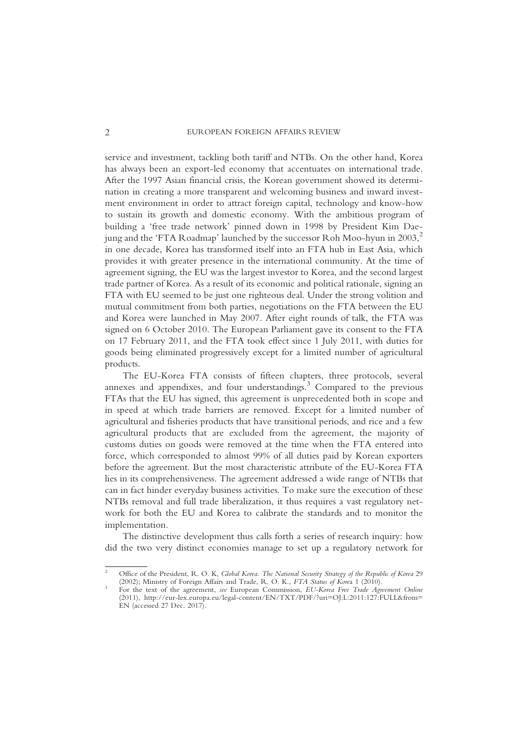service and investment, tackling both tariff and NTBs. On the other hand, Korea has always been an export-led economy that accentuates on international trade. After the 1997 Asian financial crisis, the Korean government showed its determination in creating a more transparent and welcoming business and inward investment environment in order to attract foreign capital, technology and know-how to sustain its growth and domestic economy. With the ambitious program of building a 'free trade network' pinned down in 1998 by President Kim Daejung and the 'FTA Roadmap' launched by the successor Roh Moo-hyun in  $2003$ <sup>2</sup>, in one decade, Korea has transformed itself into an FTA hub in East Asia, which provides it with greater presence in the international community. At the time of agreement signing, the EU was the largest investor to Korea, and the second largest trade partner of Korea. As a result of its economic and political rationale, signing an FTA with EU seemed to be just one righteous deal. Under the strong volition and mutual commitment from both parties, negotiations on the FTA between the EU and Korea were launched in May 2007. After eight rounds of talk, the FTA was signed on 6 October 2010. The European Parliament gave its consent to the FTA on 17 February 2011, and the FTA took effect since 1 July 2011, with duties for goods being eliminated progressively except for a limited number of agricultural products.

The EU-Korea FTA consists of fifteen chapters, three protocols, several annexes and appendixes, and four understandings.<sup>3</sup> Compared to the previous FTAs that the EU has signed, this agreement is unprecedented both in scope and in speed at which trade barriers are removed. Except for a limited number of agricultural and fisheries products that have transitional periods, and rice and a few agricultural products that are excluded from the agreement, the majority of customs duties on goods were removed at the time when the FTA entered into force, which corresponded to almost 99% of all duties paid by Korean exporters before the agreement. But the most characteristic attribute of the EU-Korea FTA lies in its comprehensiveness. The agreement addressed a wide range of NTBs that can in fact hinder everyday business activities. To make sure the execution of these NTBs removal and full trade liberalization, it thus requires a vast regulatory network for both the EU and Korea to calibrate the standards and to monitor the implementation.

The distinctive development thus calls forth a series of research inquiry: how did the two very distinct economies manage to set up a regulatory network for

<sup>&</sup>lt;sup>2</sup> Office of the President, R. O. K, *Global Korea. The National Security Strategy of the Republic of Korea 29* (2002); Ministry of Foreign Affairs and Trade, R. O. K., *FTA Status of Korea* 1 (2010).

<sup>&</sup>lt;sup>3</sup> For the text of the agreement, see European Commission, EU-Korea Free Trade Agreement Online (2011), http://eur-lex.europa.eu/legal-content/EN/TXT/PDF/?uri=OJ:L:2011:127:FULL&from= EN (accessed 27 Dec. 2017).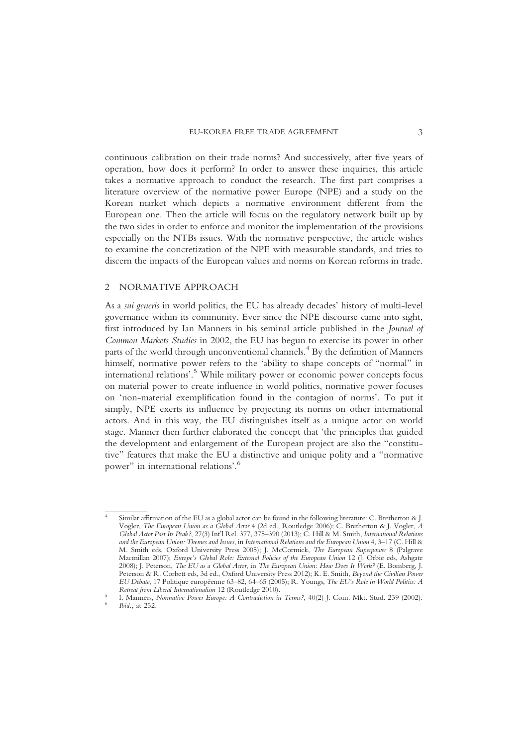continuous calibration on their trade norms? And successively, after five years of operation, how does it perform? In order to answer these inquiries, this article takes a normative approach to conduct the research. The first part comprises a literature overview of the normative power Europe (NPE) and a study on the Korean market which depicts a normative environment different from the European one. Then the article will focus on the regulatory network built up by the two sides in order to enforce and monitor the implementation of the provisions especially on the NTBs issues. With the normative perspective, the article wishes to examine the concretization of the NPE with measurable standards, and tries to discern the impacts of the European values and norms on Korean reforms in trade.

## 2 NORMATIVE APPROACH

As a sui generis in world politics, the EU has already decades' history of multi-level governance within its community. Ever since the NPE discourse came into sight, first introduced by Ian Manners in his seminal article published in the Journal of Common Markets Studies in 2002, the EU has begun to exercise its power in other parts of the world through unconventional channels.<sup>4</sup> By the definition of Manners himself, normative power refers to the 'ability to shape concepts of "normal" in international relations'. <sup>5</sup> While military power or economic power concepts focus on material power to create influence in world politics, normative power focuses on 'non-material exemplification found in the contagion of norms'. To put it simply, NPE exerts its influence by projecting its norms on other international actors. And in this way, the EU distinguishes itself as a unique actor on world stage. Manner then further elaborated the concept that 'the principles that guided the development and enlargement of the European project are also the "constitutive" features that make the EU a distinctive and unique polity and a "normative power" in international relations'. 6

Similar affirmation of the EU as a global actor can be found in the following literature: C. Bretherton & J. Vogler, The European Union as a Global Actor 4 (2d ed., Routledge 2006); C. Bretherton & J. Vogler, A Global Actor Past Its Peak?, 27(3) Int'l Rel. 377, 375–390 (2013); C. Hill & M. Smith, International Relations and the European Union: Themes and Issues, in International Relations and the European Union 4, 3–17 (C. Hill & M. Smith eds, Oxford University Press 2005); J. McCormick, The European Superpower 8 (Palgrave Macmillan 2007); Europe's Global Role: External Policies of the European Union 12 (J. Orbie eds, Ashgate 2008); J. Peterson, The EU as a Global Actor, in The European Union: How Does It Work? (E. Bomberg, J. Peterson & R. Corbett eds, 3d ed., Oxford University Press 2012); K. E. Smith, Beyond the Civilian Power EU Debate, 17 Politique européenne 63–82, 64–65 (2005); R. Youngs, The EU's Role in World Politics: A

<sup>&</sup>lt;sup>5</sup> I. Manners, Normative Power Europe: A Contradiction in Terms?, 40(2) J. Com. Mkt. Stud. 239 (2002).<br><sup>6</sup> Ibid., at 252.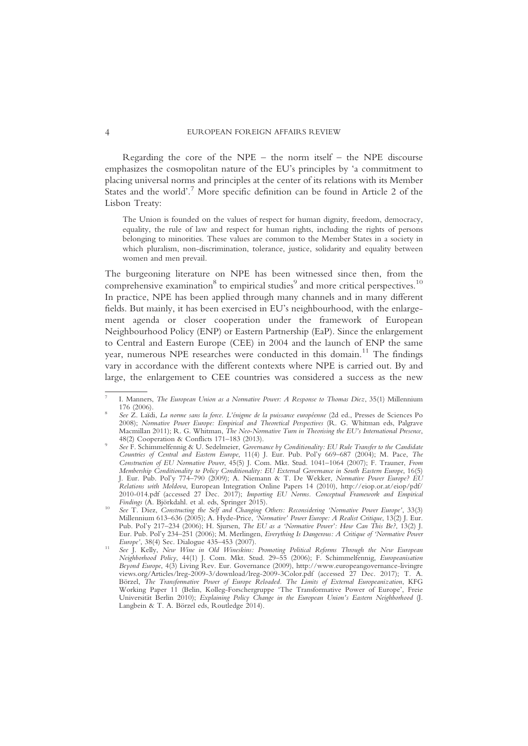Regarding the core of the NPE – the norm itself – the NPE discourse emphasizes the cosmopolitan nature of the EU's principles by 'a commitment to placing universal norms and principles at the center of its relations with its Member States and the world'.<sup>7</sup> More specific definition can be found in Article 2 of the Lisbon Treaty:

The Union is founded on the values of respect for human dignity, freedom, democracy, equality, the rule of law and respect for human rights, including the rights of persons belonging to minorities. These values are common to the Member States in a society in which pluralism, non-discrimination, tolerance, justice, solidarity and equality between women and men prevail.

The burgeoning literature on NPE has been witnessed since then, from the comprehensive examination<sup>8</sup> to empirical studies<sup>9</sup> and more critical perspectives.<sup>10</sup> In practice, NPE has been applied through many channels and in many different fields. But mainly, it has been exercised in EU's neighbourhood, with the enlargement agenda or closer cooperation under the framework of European Neighbourhood Policy (ENP) or Eastern Partnership (EaP). Since the enlargement to Central and Eastern Europe (CEE) in 2004 and the launch of ENP the same year, numerous NPE researches were conducted in this domain.<sup>11</sup> The findings vary in accordance with the different contexts where NPE is carried out. By and large, the enlargement to CEE countries was considered a success as the new

I. Manners, The European Union as a Normative Power: A Response to Thomas Diez, 35(1) Millennium 176 (2006).<br>See Z. Laïdi, La norme sans la force. L'énigme de la puissance européenne (2d ed., Presses de Sciences Po

<sup>2008);</sup> Normative Power Europe: Empirical and Theoretical Perspectives (R. G. Whitman eds, Palgrave Macmillan 2011); R. G. Whitman, *The Neo-Normative Turn in Theorising the EU's International Presence*, 48(2) Cooperation & Conflicts 171–183 (2013).

See F. Schimmelfennig & U. Sedelmeier, Governance by Conditionality: EU Rule Transfer to the Candidate Countries of Central and Eastern Europe, 11(4) J. Eur. Pub. Pol'y 669–687 (2004); M. Pace, The Construction of EU Normative Power, 45(5) J. Com. Mkt. Stud. 1041–1064 (2007); F. Trauner, From Membership Conditionality to Policy Conditionality: EU External Governance in South Eastern Europe, 16(5) J. Eur. Pub. Pol'y 774–790 (2009); A. Niemann & T. De Wekker, Normative Power Europe? EU Relations with Moldova, European Integration Online Papers 14 (2010), http://eiop.or.at/eiop/pdf/ 2010-014.pdf (accessed 27 Dec. 2017); Importing EU Norms. Conceptual Framework and Empirical Findings (A. Björkdahl. et al. eds, Springer 2015).<br><sup>10</sup> See T. Diez, Constructing the Self and Changing Others: Reconsidering 'Normative Power Europe', 33(3)

Millennium 613–636 (2005); A. Hyde-Price, 'Normative' Power Europe: A Realist Critique, 13(2) J. Eur. Pub. Pol'y 217–234 (2006); H. Sjursen, The EU as a 'Normative Power': How Can This Be?, 13(2) J. Eur. Pub. Pol'y 234–251 (2006); M. Merlingen, Everything Is Dangerous: A Critique of 'Normative Power

<sup>&</sup>lt;sup>11</sup> See J. Kelly, New Wine in Old Wineskins: Promoting Political Reforms Through the New European Neighborhood Policy, 44(1) J. Com. Mkt. Stud. 29–55 (2006); F. Schimmelfennig, Europeanisation Beyond Europe, 4(3) Living Rev. Eur. Governance (2009), http://www.europeangovernance-livingre views.org/Articles/lreg-2009-3/download/lreg-2009-3Color.pdf (accessed 27 Dec. 2017); T. A. Börzel, The Transformative Power of Europe Reloaded. The Limits of External Europeanization, KFG Working Paper 11 (Belin, Kolleg-Forschergruppe 'The Transformative Power of Europe', Freie Universität Berlin 2010); Explaining Policy Change in the European Union's Eastern Neighborhood (J. Langbein & T. A. Börzel eds, Routledge 2014).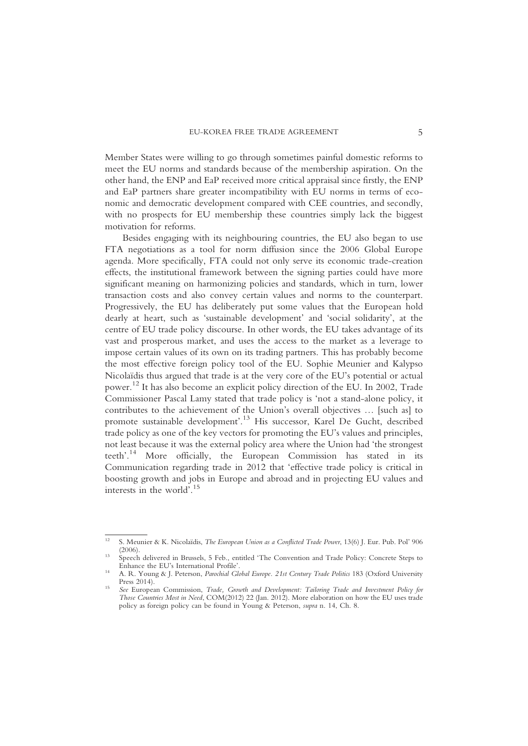Member States were willing to go through sometimes painful domestic reforms to meet the EU norms and standards because of the membership aspiration. On the other hand, the ENP and EaP received more critical appraisal since firstly, the ENP and EaP partners share greater incompatibility with EU norms in terms of economic and democratic development compared with CEE countries, and secondly, with no prospects for EU membership these countries simply lack the biggest motivation for reforms.

Besides engaging with its neighbouring countries, the EU also began to use FTA negotiations as a tool for norm diffusion since the 2006 Global Europe agenda. More specifically, FTA could not only serve its economic trade-creation effects, the institutional framework between the signing parties could have more significant meaning on harmonizing policies and standards, which in turn, lower transaction costs and also convey certain values and norms to the counterpart. Progressively, the EU has deliberately put some values that the European hold dearly at heart, such as 'sustainable development' and 'social solidarity', at the centre of EU trade policy discourse. In other words, the EU takes advantage of its vast and prosperous market, and uses the access to the market as a leverage to impose certain values of its own on its trading partners. This has probably become the most effective foreign policy tool of the EU. Sophie Meunier and Kalypso Nicolaïdis thus argued that trade is at the very core of the EU's potential or actual power. <sup>12</sup> It has also become an explicit policy direction of the EU. In 2002, Trade Commissioner Pascal Lamy stated that trade policy is 'not a stand-alone policy, it contributes to the achievement of the Union's overall objectives … [such as] to promote sustainable development'. <sup>13</sup> His successor, Karel De Gucht, described trade policy as one of the key vectors for promoting the EU's values and principles, not least because it was the external policy area where the Union had 'the strongest teeth'. <sup>14</sup> More officially, the European Commission has stated in its Communication regarding trade in 2012 that 'effective trade policy is critical in boosting growth and jobs in Europe and abroad and in projecting EU values and interests in the world'. 15

<sup>&</sup>lt;sup>12</sup> S. Meunier & K. Nicolaïdis, *The European Union as a Conflicted Trade Power*, 13(6) J. Eur. Pub. Pol' 906

<sup>(2006).</sup> <sup>13</sup> Speech delivered in Brussels, 5 Feb., entitled 'The Convention and Trade Policy: Concrete Steps to

<sup>&</sup>lt;sup>14</sup> A. R. Young & J. Peterson, *Parochial Global Europe. 21st Century Trade Politics* 183 (Oxford University Press 2014).

<sup>&</sup>lt;sup>15</sup> See European Commission, Trade, Growth and Development: Tailoring Trade and Investment Policy for Those Countries Most in Need, COM(2012) 22 (Jan. 2012). More elaboration on how the EU uses trade policy as foreign policy can be found in Young & Peterson, supra n. 14, Ch. 8.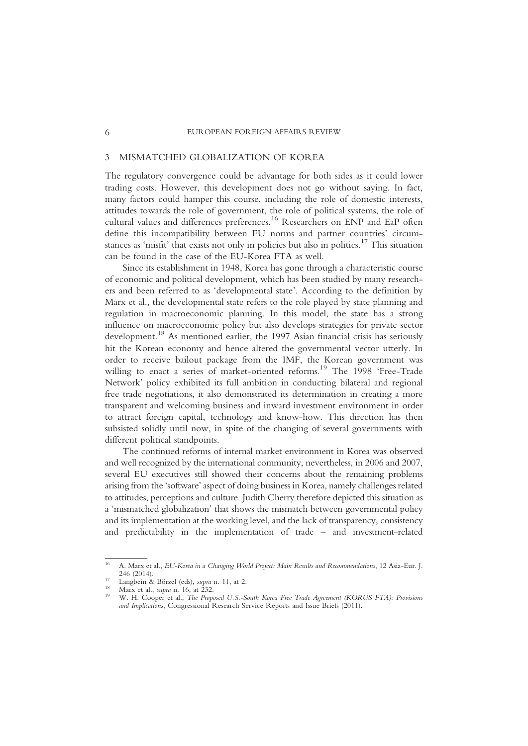## 3 MISMATCHED GLOBALIZATION OF KOREA

The regulatory convergence could be advantage for both sides as it could lower trading costs. However, this development does not go without saying. In fact, many factors could hamper this course, including the role of domestic interests, attitudes towards the role of government, the role of political systems, the role of cultural values and differences preferences.<sup>16</sup> Researchers on ENP and EaP often define this incompatibility between EU norms and partner countries' circumstances as 'misfit' that exists not only in policies but also in politics.<sup>17</sup> This situation can be found in the case of the EU-Korea FTA as well.

Since its establishment in 1948, Korea has gone through a characteristic course of economic and political development, which has been studied by many researchers and been referred to as 'developmental state'. According to the definition by Marx et al., the developmental state refers to the role played by state planning and regulation in macroeconomic planning. In this model, the state has a strong influence on macroeconomic policy but also develops strategies for private sector development.18 As mentioned earlier, the 1997 Asian financial crisis has seriously hit the Korean economy and hence altered the governmental vector utterly. In order to receive bailout package from the IMF, the Korean government was willing to enact a series of market-oriented reforms.<sup>19</sup> The 1998 'Free-Trade Network' policy exhibited its full ambition in conducting bilateral and regional free trade negotiations, it also demonstrated its determination in creating a more transparent and welcoming business and inward investment environment in order to attract foreign capital, technology and know-how. This direction has then subsisted solidly until now, in spite of the changing of several governments with different political standpoints.

The continued reforms of internal market environment in Korea was observed and well recognized by the international community, nevertheless, in 2006 and 2007, several EU executives still showed their concerns about the remaining problems arising from the 'software'aspect of doing business in Korea, namely challenges related to attitudes, perceptions and culture. Judith Cherry therefore depicted this situation as a 'mismatched globalization' that shows the mismatch between governmental policy and its implementation at the working level, and the lack of transparency, consistency and predictability in the implementation of trade – and investment-related

<sup>&</sup>lt;sup>16</sup> A. Marx et al., *EU-Korea in a Changing World Project: Main Results and Recommendations*, 12 Asia-Eur. J. 246 (2014).

<sup>&</sup>lt;sup>17</sup> Langbein & Börzel (eds), *supra* n. 11, at 2.<br><sup>18</sup> Marx et al., *supra* n. 16, at 232.<br><sup>19</sup> W. H. Cooper et al., *The Proposed U.S.-South Korea Free Trade Agreement (KORUS FTA): Provisions* and Implications, Congressional Research Service Reports and Issue Briefs (2011).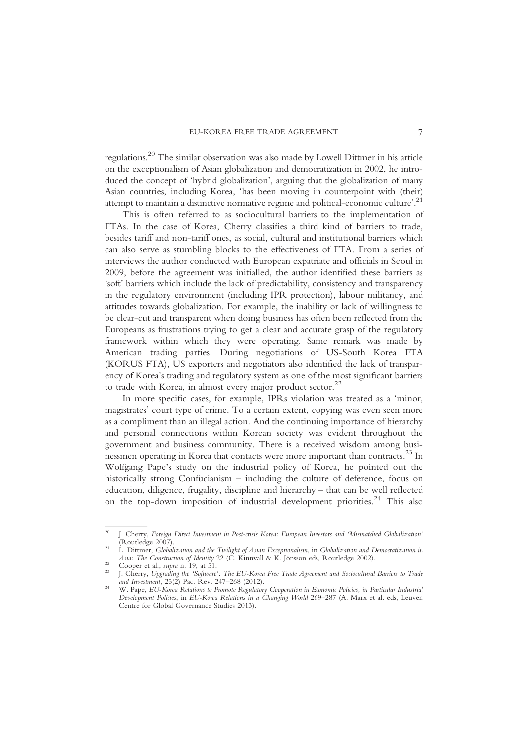regulations.20 The similar observation was also made by Lowell Dittmer in his article on the exceptionalism of Asian globalization and democratization in 2002, he introduced the concept of 'hybrid globalization', arguing that the globalization of many Asian countries, including Korea, 'has been moving in counterpoint with (their) attempt to maintain a distinctive normative regime and political-economic culture'.<sup>21</sup>

This is often referred to as sociocultural barriers to the implementation of FTAs. In the case of Korea, Cherry classifies a third kind of barriers to trade, besides tariff and non-tariff ones, as social, cultural and institutional barriers which can also serve as stumbling blocks to the effectiveness of FTA. From a series of interviews the author conducted with European expatriate and officials in Seoul in 2009, before the agreement was initialled, the author identified these barriers as 'soft' barriers which include the lack of predictability, consistency and transparency in the regulatory environment (including IPR protection), labour militancy, and attitudes towards globalization. For example, the inability or lack of willingness to be clear-cut and transparent when doing business has often been reflected from the Europeans as frustrations trying to get a clear and accurate grasp of the regulatory framework within which they were operating. Same remark was made by American trading parties. During negotiations of US-South Korea FTA (KORUS FTA), US exporters and negotiators also identified the lack of transparency of Korea's trading and regulatory system as one of the most significant barriers to trade with Korea, in almost every major product sector.<sup>22</sup>

In more specific cases, for example, IPRs violation was treated as a 'minor, magistrates' court type of crime. To a certain extent, copying was even seen more as a compliment than an illegal action. And the continuing importance of hierarchy and personal connections within Korean society was evident throughout the government and business community. There is a received wisdom among businessmen operating in Korea that contacts were more important than contracts.<sup>23</sup> In Wolfgang Pape's study on the industrial policy of Korea, he pointed out the historically strong Confucianism – including the culture of deference, focus on education, diligence, frugality, discipline and hierarchy – that can be well reflected on the top-down imposition of industrial development priorities.<sup>24</sup> This also

<sup>&</sup>lt;sup>20</sup> J. Cherry, Foreign Direct Investment in Post-crisis Korea: European Investors and 'Mismatched Globalization' (Routledge 2007).

<sup>&</sup>lt;sup>21</sup> L. Dittmer, Globalization and the Twilight of Asian Exceptionalism, in Globalization and Democratization in *Asia: The Construction of Identity* 22 (C. Kinnvall & K. Jönsson eds, Routledge 2002).

<sup>&</sup>lt;sup>22</sup> Cooper et al., supra n. 19, at 51.<br><sup>23</sup> J. Cherry, Upgrading the 'Software': The EU-Korea Free Trade Agreement and Sociocultural Barriers to Trade<br><sup>23</sup> J. Cherry, Upgrading the 'Software': The EU-Korea Free Trade Agre

and Investment, 25(2) Pac. Rev. 247–268 (2012). <sup>24</sup> W. Pape, EU-Korea Relations to Promote Regulatory Cooperation in Economic Policies, in Particular Industrial Development Policies, in EU-Korea Relations in a Changing World 269–287 (A. Marx et al. eds, Leuven Centre for Global Governance Studies 2013).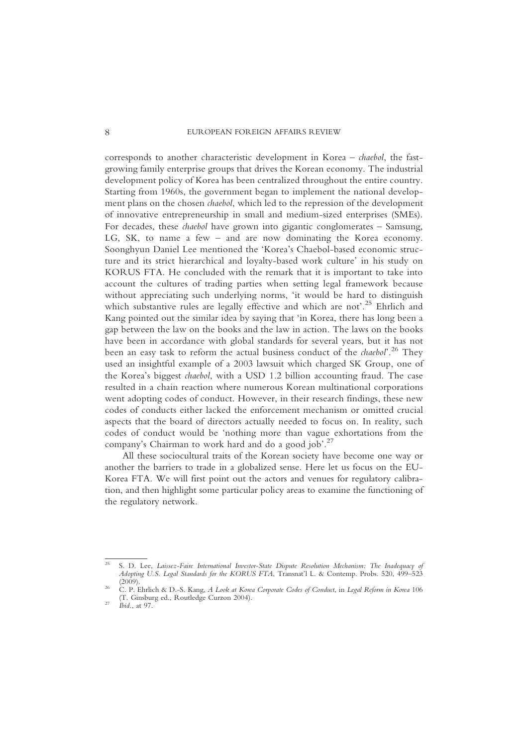corresponds to another characteristic development in Korea – chaebol, the fastgrowing family enterprise groups that drives the Korean economy. The industrial development policy of Korea has been centralized throughout the entire country. Starting from 1960s, the government began to implement the national development plans on the chosen chaebol, which led to the repression of the development of innovative entrepreneurship in small and medium-sized enterprises (SMEs). For decades, these chaebol have grown into gigantic conglomerates – Samsung, LG, SK, to name a few – and are now dominating the Korea economy. Soonghyun Daniel Lee mentioned the 'Korea's Chaebol-based economic structure and its strict hierarchical and loyalty-based work culture' in his study on KORUS FTA. He concluded with the remark that it is important to take into account the cultures of trading parties when setting legal framework because without appreciating such underlying norms, 'it would be hard to distinguish which substantive rules are legally effective and which are not'.<sup>25</sup> Ehrlich and Kang pointed out the similar idea by saying that 'in Korea, there has long been a gap between the law on the books and the law in action. The laws on the books have been in accordance with global standards for several years, but it has not been an easy task to reform the actual business conduct of the *chaebol*<sup>'</sup>.<sup>26</sup> They used an insightful example of a 2003 lawsuit which charged SK Group, one of the Korea's biggest chaebol, with a USD 1.2 billion accounting fraud. The case resulted in a chain reaction where numerous Korean multinational corporations went adopting codes of conduct. However, in their research findings, these new codes of conducts either lacked the enforcement mechanism or omitted crucial aspects that the board of directors actually needed to focus on. In reality, such codes of conduct would be 'nothing more than vague exhortations from the company's Chairman to work hard and do a good job'.<sup>27</sup>

All these sociocultural traits of the Korean society have become one way or another the barriers to trade in a globalized sense. Here let us focus on the EU-Korea FTA. We will first point out the actors and venues for regulatory calibration, and then highlight some particular policy areas to examine the functioning of the regulatory network.

<sup>25</sup> S. D. Lee, Laissez-Faire International Investor-State Dispute Resolution Mechanism: The Inadequacy of Adopting U.S. Legal Standards for the KORUS FTA, Transnat'l L. & Contemp. Probs. 520, 499-523 (2009). <sup>26</sup> C. P. Ehrlich & D.-S. Kang, A Look at Korea Corporate Codes of Conduct, in Legal Reform in Korea <sup>106</sup>

<sup>(</sup>T. Ginsburg ed., Routledge Curzon 2004). <sup>27</sup> Ibid., at 97.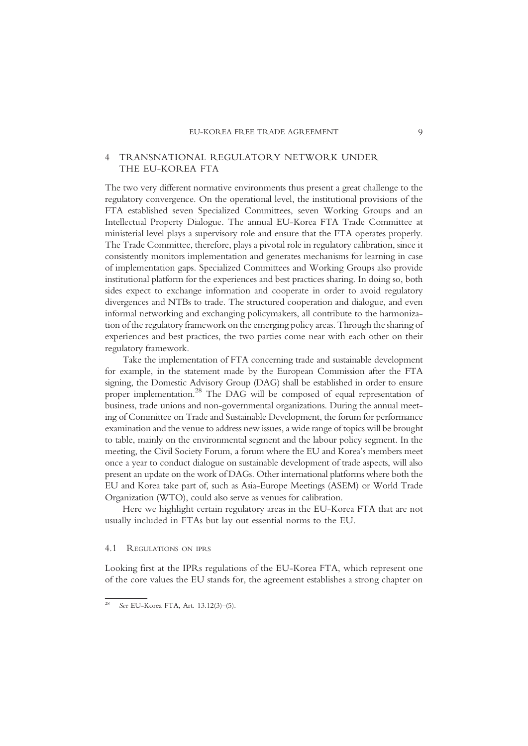## 4 TRANSNATIONAL REGULATORY NETWORK UNDER THE EU-KOREA FTA

The two very different normative environments thus present a great challenge to the regulatory convergence. On the operational level, the institutional provisions of the FTA established seven Specialized Committees, seven Working Groups and an Intellectual Property Dialogue. The annual EU-Korea FTA Trade Committee at ministerial level plays a supervisory role and ensure that the FTA operates properly. The Trade Committee, therefore, plays a pivotal role in regulatory calibration, since it consistently monitors implementation and generates mechanisms for learning in case of implementation gaps. Specialized Committees and Working Groups also provide institutional platform for the experiences and best practices sharing. In doing so, both sides expect to exchange information and cooperate in order to avoid regulatory divergences and NTBs to trade. The structured cooperation and dialogue, and even informal networking and exchanging policymakers, all contribute to the harmonization of the regulatory framework on the emerging policy areas. Through the sharing of experiences and best practices, the two parties come near with each other on their regulatory framework.

Take the implementation of FTA concerning trade and sustainable development for example, in the statement made by the European Commission after the FTA signing, the Domestic Advisory Group (DAG) shall be established in order to ensure proper implementation.<sup>28</sup> The DAG will be composed of equal representation of business, trade unions and non-governmental organizations. During the annual meeting of Committee on Trade and Sustainable Development, the forum for performance examination and the venue to address new issues, a wide range of topics will be brought to table, mainly on the environmental segment and the labour policy segment. In the meeting, the Civil Society Forum, a forum where the EU and Korea's members meet once a year to conduct dialogue on sustainable development of trade aspects, will also present an update on the work of DAGs. Other international platforms where both the EU and Korea take part of, such as Asia-Europe Meetings (ASEM) or World Trade Organization (WTO), could also serve as venues for calibration.

Here we highlight certain regulatory areas in the EU-Korea FTA that are not usually included in FTAs but lay out essential norms to the EU.

#### 4.1 REGULATIONS ON IPRS

Looking first at the IPRs regulations of the EU-Korea FTA, which represent one of the core values the EU stands for, the agreement establishes a strong chapter on

See EU-Korea FTA, Art. 13.12(3)-(5).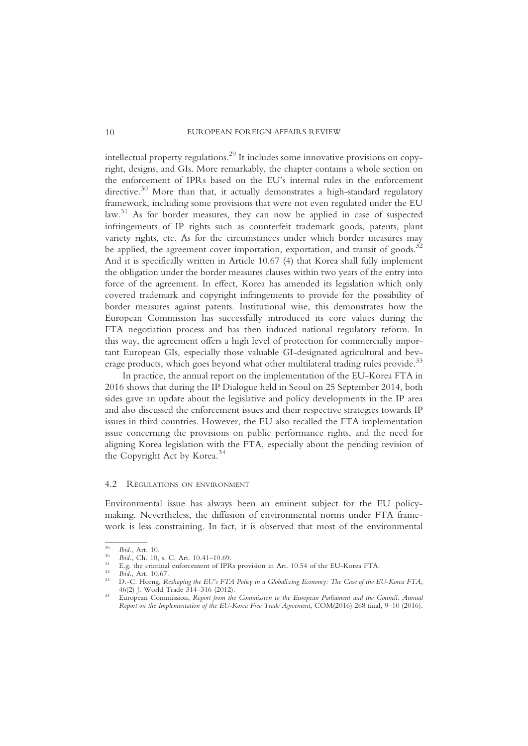intellectual property regulations.29 It includes some innovative provisions on copyright, designs, and GIs. More remarkably, the chapter contains a whole section on the enforcement of IPRs based on the EU's internal rules in the enforcement directive.<sup>30</sup> More than that, it actually demonstrates a high-standard regulatory framework, including some provisions that were not even regulated under the EU law.<sup>31</sup> As for border measures, they can now be applied in case of suspected infringements of IP rights such as counterfeit trademark goods, patents, plant variety rights, etc. As for the circumstances under which border measures may be applied, the agreement cover importation, exportation, and transit of goods.<sup>32</sup> And it is specifically written in Article 10.67 (4) that Korea shall fully implement the obligation under the border measures clauses within two years of the entry into force of the agreement. In effect, Korea has amended its legislation which only covered trademark and copyright infringements to provide for the possibility of border measures against patents. Institutional wise, this demonstrates how the European Commission has successfully introduced its core values during the FTA negotiation process and has then induced national regulatory reform. In this way, the agreement offers a high level of protection for commercially important European GIs, especially those valuable GI-designated agricultural and beverage products, which goes beyond what other multilateral trading rules provide.<sup>33</sup>

In practice, the annual report on the implementation of the EU-Korea FTA in 2016 shows that during the IP Dialogue held in Seoul on 25 September 2014, both sides gave an update about the legislative and policy developments in the IP area and also discussed the enforcement issues and their respective strategies towards IP issues in third countries. However, the EU also recalled the FTA implementation issue concerning the provisions on public performance rights, and the need for aligning Korea legislation with the FTA, especially about the pending revision of the Copyright Act by Korea.<sup>34</sup>

#### 4.2 REGULATIONS ON ENVIRONMENT

Environmental issue has always been an eminent subject for the EU policymaking. Nevertheless, the diffusion of environmental norms under FTA framework is less constraining. In fact, it is observed that most of the environmental

<sup>&</sup>lt;sup>29</sup> Ibid., Art. 10.<br><sup>30</sup> Ibid., Ch. 10, s. C, Art. 10.41–10.69.<br><sup>31</sup> E.g. the criminal enforcement of IPRs provision in Art. 10.54 of the EU-Korea FTA.<br><sup>32</sup> Ibid., Art. 10.67.<br><sup>33</sup> D.-C. Horng, *Reshaping the EU's FTA Po* 

<sup>&</sup>lt;sup>34</sup> European Commission, Report from the Commission to the European Parliament and the Council. Annual Report on the Implementation of the EU-Korea Free Trade Agreement, COM(2016) 268 final, 9–10 (2016).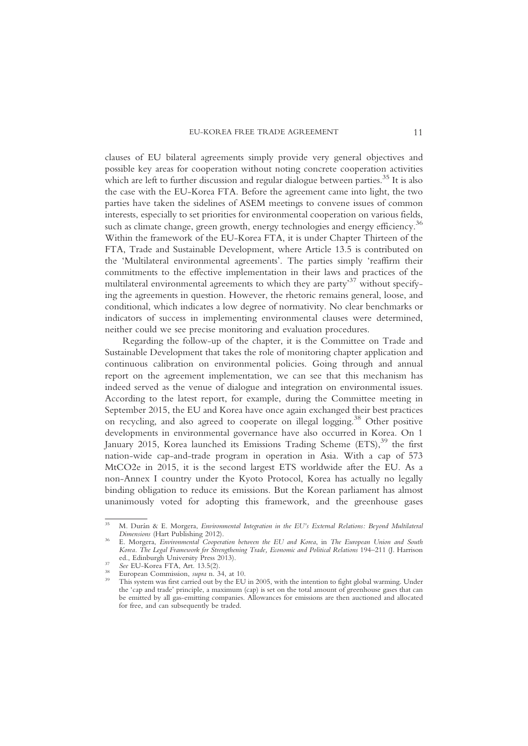clauses of EU bilateral agreements simply provide very general objectives and possible key areas for cooperation without noting concrete cooperation activities which are left to further discussion and regular dialogue between parties.<sup>35</sup> It is also the case with the EU-Korea FTA. Before the agreement came into light, the two parties have taken the sidelines of ASEM meetings to convene issues of common interests, especially to set priorities for environmental cooperation on various fields, such as climate change, green growth, energy technologies and energy efficiency.<sup>36</sup> Within the framework of the EU-Korea FTA, it is under Chapter Thirteen of the FTA, Trade and Sustainable Development, where Article 13.5 is contributed on the 'Multilateral environmental agreements'. The parties simply 'reaffirm their commitments to the effective implementation in their laws and practices of the multilateral environmental agreements to which they are party'<sup>37</sup> without specifying the agreements in question. However, the rhetoric remains general, loose, and conditional, which indicates a low degree of normativity. No clear benchmarks or indicators of success in implementing environmental clauses were determined, neither could we see precise monitoring and evaluation procedures.

Regarding the follow-up of the chapter, it is the Committee on Trade and Sustainable Development that takes the role of monitoring chapter application and continuous calibration on environmental policies. Going through and annual report on the agreement implementation, we can see that this mechanism has indeed served as the venue of dialogue and integration on environmental issues. According to the latest report, for example, during the Committee meeting in September 2015, the EU and Korea have once again exchanged their best practices on recycling, and also agreed to cooperate on illegal logging.<sup>38</sup> Other positive developments in environmental governance have also occurred in Korea. On 1 January 2015, Korea launched its Emissions Trading Scheme (ETS),<sup>39</sup> the first nation-wide cap-and-trade program in operation in Asia. With a cap of 573 MtCO2e in 2015, it is the second largest ETS worldwide after the EU. As a non-Annex I country under the Kyoto Protocol, Korea has actually no legally binding obligation to reduce its emissions. But the Korean parliament has almost unanimously voted for adopting this framework, and the greenhouse gases

<sup>&</sup>lt;sup>35</sup> M. Durán & E. Morgera, *Environmental Integration in the EU's External Relations: Beyond Multilateral Dimensions* (Hart Publishing 2012).

<sup>&</sup>lt;sup>36</sup> E. Morgera, *Environmental Cooperation between the EU and Korea*, in *The European Union and South* Korea. The Legal Framework for Strengthening Trade, Economic and Political Relations 194–211 (J. Harrison ed., Edinburgh University Press 2013).

Equiversity Press 2013). See EU-Korea FTA, Art. 13.5(2). 38 European Commission, *supra* n. 34, at 10. 39 This system was first carried out by the EU in 2005, with the intention to fight global warming. Under the 'cap and trade' principle, a maximum (cap) is set on the total amount of greenhouse gases that can be emitted by all gas-emitting companies. Allowances for emissions are then auctioned and allocated for free, and can subsequently be traded.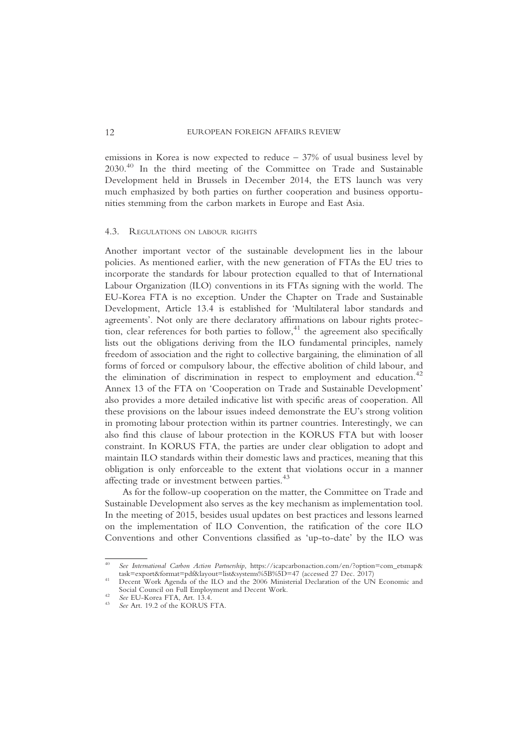#### 12 EUROPEAN FOREIGN AFFAIRS REVIEW

emissions in Korea is now expected to reduce  $-37%$  of usual business level by 2030.40 In the third meeting of the Committee on Trade and Sustainable Development held in Brussels in December 2014, the ETS launch was very much emphasized by both parties on further cooperation and business opportunities stemming from the carbon markets in Europe and East Asia.

#### 4.3. REGULATIONS ON LABOUR RIGHTS

Another important vector of the sustainable development lies in the labour policies. As mentioned earlier, with the new generation of FTAs the EU tries to incorporate the standards for labour protection equalled to that of International Labour Organization (ILO) conventions in its FTAs signing with the world. The EU-Korea FTA is no exception. Under the Chapter on Trade and Sustainable Development, Article 13.4 is established for 'Multilateral labor standards and agreements'. Not only are there declaratory affirmations on labour rights protection, clear references for both parties to follow,<sup>41</sup> the agreement also specifically lists out the obligations deriving from the ILO fundamental principles, namely freedom of association and the right to collective bargaining, the elimination of all forms of forced or compulsory labour, the effective abolition of child labour, and the elimination of discrimination in respect to employment and education.<sup>42</sup> Annex 13 of the FTA on 'Cooperation on Trade and Sustainable Development' also provides a more detailed indicative list with specific areas of cooperation. All these provisions on the labour issues indeed demonstrate the EU's strong volition in promoting labour protection within its partner countries. Interestingly, we can also find this clause of labour protection in the KORUS FTA but with looser constraint. In KORUS FTA, the parties are under clear obligation to adopt and maintain ILO standards within their domestic laws and practices, meaning that this obligation is only enforceable to the extent that violations occur in a manner affecting trade or investment between parties.<sup>43</sup>

As for the follow-up cooperation on the matter, the Committee on Trade and Sustainable Development also serves as the key mechanism as implementation tool. In the meeting of 2015, besides usual updates on best practices and lessons learned on the implementation of ILO Convention, the ratification of the core ILO Conventions and other Conventions classified as 'up-to-date' by the ILO was

<sup>40</sup> See International Carbon Action Partnership, https://icapcarbonaction.com/en/?option=com\_etsmap&<br>task=export&format=pdf&layout=list&systems%5B%5D=47 (accessed 27 Dec. 2017)

<sup>&</sup>lt;sup>41</sup> Decent Work Agenda of the ILO and the 2006 Ministerial Declaration of the UN Economic and Social Council on Full Employment and Decent Work.

<sup>&</sup>lt;sup>42</sup> See EU-Korea FTA, Art.  $13.4$ .<br><sup>43</sup> See Art. 19.2 of the KORUS FTA.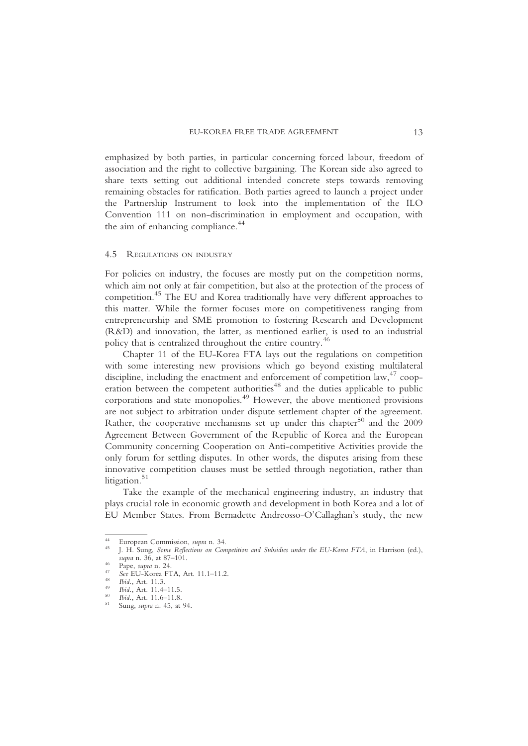emphasized by both parties, in particular concerning forced labour, freedom of association and the right to collective bargaining. The Korean side also agreed to share texts setting out additional intended concrete steps towards removing remaining obstacles for ratification. Both parties agreed to launch a project under the Partnership Instrument to look into the implementation of the ILO Convention 111 on non-discrimination in employment and occupation, with the aim of enhancing compliance.<sup>44</sup>

#### 4.5 REGULATIONS ON INDUSTRY

For policies on industry, the focuses are mostly put on the competition norms, which aim not only at fair competition, but also at the protection of the process of competition.<sup>45</sup> The EU and Korea traditionally have very different approaches to this matter. While the former focuses more on competitiveness ranging from entrepreneurship and SME promotion to fostering Research and Development (R&D) and innovation, the latter, as mentioned earlier, is used to an industrial policy that is centralized throughout the entire country.<sup>46</sup>

Chapter 11 of the EU-Korea FTA lays out the regulations on competition with some interesting new provisions which go beyond existing multilateral discipline, including the enactment and enforcement of competition law,<sup>47</sup> cooperation between the competent authorities<sup>48</sup> and the duties applicable to public corporations and state monopolies.<sup>49</sup> However, the above mentioned provisions are not subject to arbitration under dispute settlement chapter of the agreement. Rather, the cooperative mechanisms set up under this chapter<sup>50</sup> and the 2009 Agreement Between Government of the Republic of Korea and the European Community concerning Cooperation on Anti-competitive Activities provide the only forum for settling disputes. In other words, the disputes arising from these innovative competition clauses must be settled through negotiation, rather than litigation.<sup>51</sup>

Take the example of the mechanical engineering industry, an industry that plays crucial role in economic growth and development in both Korea and a lot of EU Member States. From Bernadette Andreosso-O'Callaghan's study, the new

- 
- 
- 

<sup>&</sup>lt;sup>44</sup> European Commission, *supra* n. 34.<br><sup>45</sup> J. H. Sung, *Some Reflections on Competition and Subsidies under the EU-Korea FTA*, in Harrison (ed.), *supra* n. 36, at 87–101.

<sup>46</sup> Pape, supra n. 24.<br>
47 See EU-Korea FTA, Art. 11.1–11.2.<br>
48 Ibid., Art. 11.3.<br>
49 Ibid., Art. 11.4–11.5.<br>
50 Ibid., Art. 11.6–11.8.<br>
51 Sung, supra n. 45, at 94.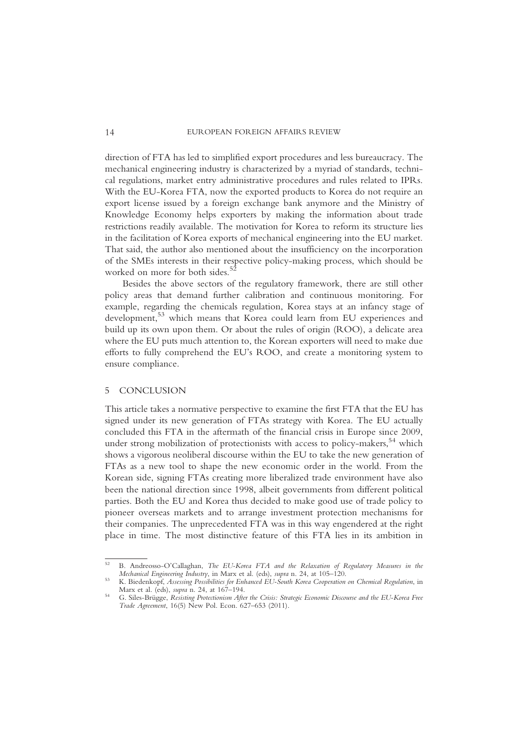direction of FTA has led to simplified export procedures and less bureaucracy. The mechanical engineering industry is characterized by a myriad of standards, technical regulations, market entry administrative procedures and rules related to IPRs. With the EU-Korea FTA, now the exported products to Korea do not require an export license issued by a foreign exchange bank anymore and the Ministry of Knowledge Economy helps exporters by making the information about trade restrictions readily available. The motivation for Korea to reform its structure lies in the facilitation of Korea exports of mechanical engineering into the EU market. That said, the author also mentioned about the insufficiency on the incorporation of the SMEs interests in their respective policy-making process, which should be worked on more for both sides.<sup>5</sup>

Besides the above sectors of the regulatory framework, there are still other policy areas that demand further calibration and continuous monitoring. For example, regarding the chemicals regulation, Korea stays at an infancy stage of development,<sup>53</sup> which means that Korea could learn from EU experiences and build up its own upon them. Or about the rules of origin (ROO), a delicate area where the EU puts much attention to, the Korean exporters will need to make due efforts to fully comprehend the EU's ROO, and create a monitoring system to ensure compliance.

## 5 CONCLUSION

This article takes a normative perspective to examine the first FTA that the EU has signed under its new generation of FTAs strategy with Korea. The EU actually concluded this FTA in the aftermath of the financial crisis in Europe since 2009, under strong mobilization of protectionists with access to policy-makers,  $54$  which shows a vigorous neoliberal discourse within the EU to take the new generation of FTAs as a new tool to shape the new economic order in the world. From the Korean side, signing FTAs creating more liberalized trade environment have also been the national direction since 1998, albeit governments from different political parties. Both the EU and Korea thus decided to make good use of trade policy to pioneer overseas markets and to arrange investment protection mechanisms for their companies. The unprecedented FTA was in this way engendered at the right place in time. The most distinctive feature of this FTA lies in its ambition in

<sup>52</sup> B. Andreosso-O'Callaghan, The EU-Korea FTA and the Relaxation of Regulatory Measures in the Mechanical Engineering Industry, in Marx et al. (eds), supra n. 24, at 105–120.

<sup>&</sup>lt;sup>53</sup> K. Biedenkopf, *Assessing Possibilities for Enhanced EU-South Korea Cooperation on Chemical Regulation*, in Marx et al. (eds), *supra* n. 24, at 167–194.

<sup>54</sup> G. Siles-Brügge, Resisting Protectionism After the Crisis: Strategic Economic Discourse and the EU-Korea Free Trade Agreement, 16(5) New Pol. Econ. 627–653 (2011).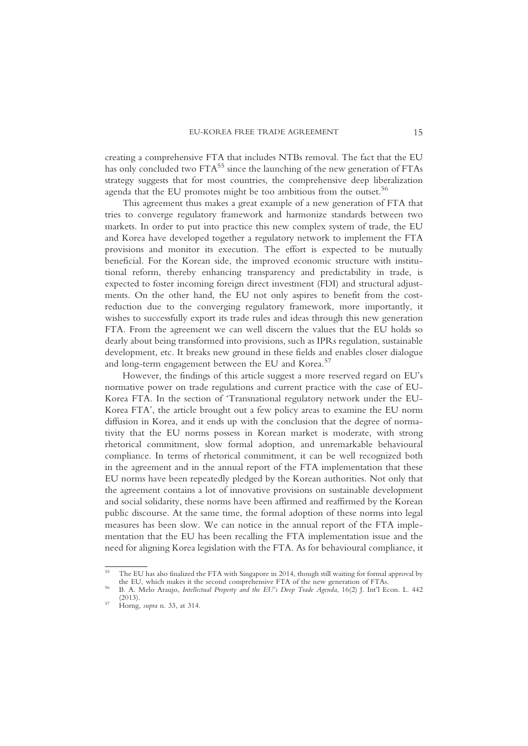creating a comprehensive FTA that includes NTBs removal. The fact that the EU has only concluded two  $FTA^{55}$  since the launching of the new generation of FTAs strategy suggests that for most countries, the comprehensive deep liberalization agenda that the EU promotes might be too ambitious from the outset.<sup>56</sup>

This agreement thus makes a great example of a new generation of FTA that tries to converge regulatory framework and harmonize standards between two markets. In order to put into practice this new complex system of trade, the EU and Korea have developed together a regulatory network to implement the FTA provisions and monitor its execution. The effort is expected to be mutually beneficial. For the Korean side, the improved economic structure with institutional reform, thereby enhancing transparency and predictability in trade, is expected to foster incoming foreign direct investment (FDI) and structural adjustments. On the other hand, the EU not only aspires to benefit from the costreduction due to the converging regulatory framework, more importantly, it wishes to successfully export its trade rules and ideas through this new generation FTA. From the agreement we can well discern the values that the EU holds so dearly about being transformed into provisions, such as IPRs regulation, sustainable development, etc. It breaks new ground in these fields and enables closer dialogue and long-term engagement between the EU and Korea.<sup>57</sup>

However, the findings of this article suggest a more reserved regard on EU's normative power on trade regulations and current practice with the case of EU-Korea FTA. In the section of 'Transnational regulatory network under the EU-Korea FTA', the article brought out a few policy areas to examine the EU norm diffusion in Korea, and it ends up with the conclusion that the degree of normativity that the EU norms possess in Korean market is moderate, with strong rhetorical commitment, slow formal adoption, and unremarkable behavioural compliance. In terms of rhetorical commitment, it can be well recognized both in the agreement and in the annual report of the FTA implementation that these EU norms have been repeatedly pledged by the Korean authorities. Not only that the agreement contains a lot of innovative provisions on sustainable development and social solidarity, these norms have been affirmed and reaffirmed by the Korean public discourse. At the same time, the formal adoption of these norms into legal measures has been slow. We can notice in the annual report of the FTA implementation that the EU has been recalling the FTA implementation issue and the need for aligning Korea legislation with the FTA. As for behavioural compliance, it

<sup>&</sup>lt;sup>55</sup> The EU has also finalized the FTA with Singapore in 2014, though still waiting for formal approval by the EU, which makes it the second comprehensive FTA of the new generation of FTAs.

<sup>&</sup>lt;sup>56</sup> B. A. Melo Araujo, *Intellectual Property and the EU's Deep Trade Agenda*, 16(2) J. Int'l Econ. L. 442 (2013).

<sup>&</sup>lt;sup>57</sup> Horng, *supra* n. 33, at 314.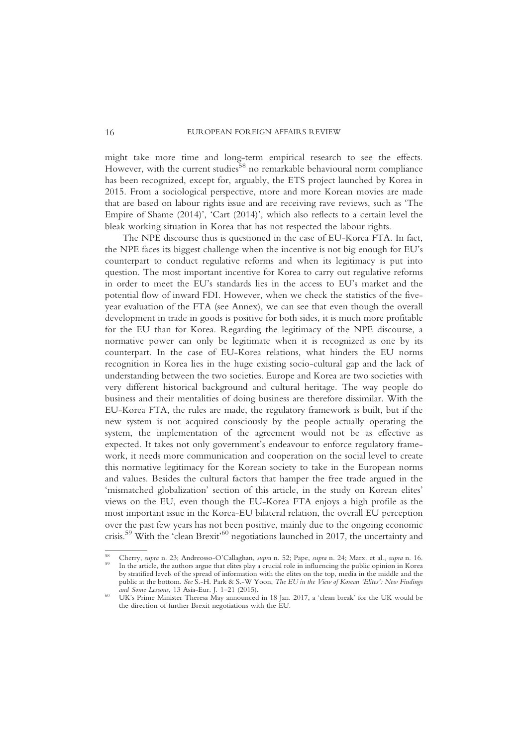might take more time and long-term empirical research to see the effects. However, with the current studies<sup>58</sup> no remarkable behavioural norm compliance has been recognized, except for, arguably, the ETS project launched by Korea in 2015. From a sociological perspective, more and more Korean movies are made that are based on labour rights issue and are receiving rave reviews, such as 'The Empire of Shame (2014)', 'Cart (2014)', which also reflects to a certain level the bleak working situation in Korea that has not respected the labour rights.

The NPE discourse thus is questioned in the case of EU-Korea FTA. In fact, the NPE faces its biggest challenge when the incentive is not big enough for EU's counterpart to conduct regulative reforms and when its legitimacy is put into question. The most important incentive for Korea to carry out regulative reforms in order to meet the EU's standards lies in the access to EU's market and the potential flow of inward FDI. However, when we check the statistics of the fiveyear evaluation of the FTA (see Annex), we can see that even though the overall development in trade in goods is positive for both sides, it is much more profitable for the EU than for Korea. Regarding the legitimacy of the NPE discourse, a normative power can only be legitimate when it is recognized as one by its counterpart. In the case of EU-Korea relations, what hinders the EU norms recognition in Korea lies in the huge existing socio-cultural gap and the lack of understanding between the two societies. Europe and Korea are two societies with very different historical background and cultural heritage. The way people do business and their mentalities of doing business are therefore dissimilar. With the EU-Korea FTA, the rules are made, the regulatory framework is built, but if the new system is not acquired consciously by the people actually operating the system, the implementation of the agreement would not be as effective as expected. It takes not only government's endeavour to enforce regulatory framework, it needs more communication and cooperation on the social level to create this normative legitimacy for the Korean society to take in the European norms and values. Besides the cultural factors that hamper the free trade argued in the 'mismatched globalization' section of this article, in the study on Korean elites' views on the EU, even though the EU-Korea FTA enjoys a high profile as the most important issue in the Korea-EU bilateral relation, the overall EU perception over the past few years has not been positive, mainly due to the ongoing economic crisis.59 With the 'clean Brexit' <sup>60</sup> negotiations launched in 2017, the uncertainty and

<sup>&</sup>lt;sup>58</sup> Cherry, *supra* n. 23; Andreosso-O'Callaghan, *supra* n. 52; Pape, *supra* n. 24; Marx. et al., *supra* n. 16. <sup>59</sup> In the article, the authors argue that elites play a crucial role in influencing the public opinion by stratified levels of the spread of information with the elites on the top, media in the middle and the public at the bottom. See S.-H. Park & S.-W Yoon, *The EU in the View of Korean 'Elites': New Findings and Some Lessons*, 13 Asia-Eur. J. 1–21 (2015).

<sup>&</sup>lt;sup>60</sup> UK's Prime Minister Theresa May announced in 18 Jan. 2017, a 'clean break' for the UK would be the direction of further Brexit negotiations with the EU.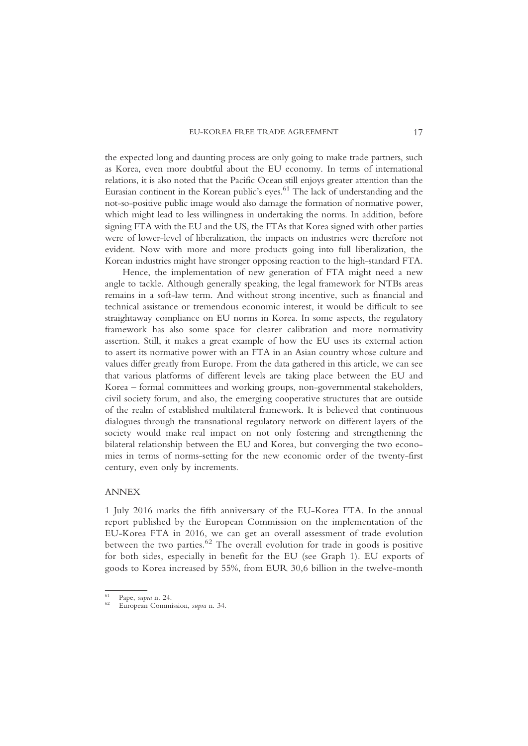the expected long and daunting process are only going to make trade partners, such as Korea, even more doubtful about the EU economy. In terms of international relations, it is also noted that the Pacific Ocean still enjoys greater attention than the Eurasian continent in the Korean public's eyes. <sup>61</sup> The lack of understanding and the not-so-positive public image would also damage the formation of normative power, which might lead to less willingness in undertaking the norms. In addition, before signing FTA with the EU and the US, the FTAs that Korea signed with other parties were of lower-level of liberalization, the impacts on industries were therefore not evident. Now with more and more products going into full liberalization, the Korean industries might have stronger opposing reaction to the high-standard FTA.

Hence, the implementation of new generation of FTA might need a new angle to tackle. Although generally speaking, the legal framework for NTBs areas remains in a soft-law term. And without strong incentive, such as financial and technical assistance or tremendous economic interest, it would be difficult to see straightaway compliance on EU norms in Korea. In some aspects, the regulatory framework has also some space for clearer calibration and more normativity assertion. Still, it makes a great example of how the EU uses its external action to assert its normative power with an FTA in an Asian country whose culture and values differ greatly from Europe. From the data gathered in this article, we can see that various platforms of different levels are taking place between the EU and Korea – formal committees and working groups, non-governmental stakeholders, civil society forum, and also, the emerging cooperative structures that are outside of the realm of established multilateral framework. It is believed that continuous dialogues through the transnational regulatory network on different layers of the society would make real impact on not only fostering and strengthening the bilateral relationship between the EU and Korea, but converging the two economies in terms of norms-setting for the new economic order of the twenty-first century, even only by increments.

## ANNEX

1 July 2016 marks the fifth anniversary of the EU-Korea FTA. In the annual report published by the European Commission on the implementation of the EU-Korea FTA in 2016, we can get an overall assessment of trade evolution between the two parties. $62$  The overall evolution for trade in goods is positive for both sides, especially in benefit for the EU (see Graph 1). EU exports of goods to Korea increased by 55%, from EUR 30,6 billion in the twelve-month

<sup>61</sup> Pape, supra n. 24. <sup>62</sup> European Commission, supra n. 34.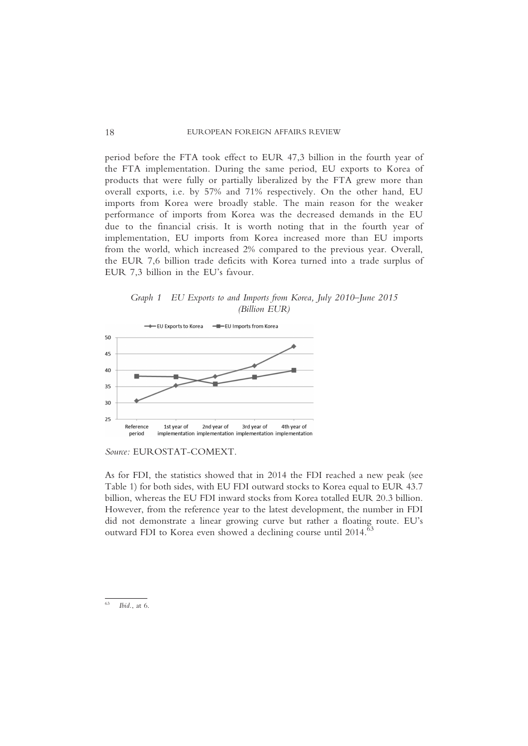period before the FTA took effect to EUR 47,3 billion in the fourth year of the FTA implementation. During the same period, EU exports to Korea of products that were fully or partially liberalized by the FTA grew more than overall exports, i.e. by 57% and 71% respectively. On the other hand, EU imports from Korea were broadly stable. The main reason for the weaker performance of imports from Korea was the decreased demands in the EU due to the financial crisis. It is worth noting that in the fourth year of implementation, EU imports from Korea increased more than EU imports from the world, which increased 2% compared to the previous year. Overall, the EUR 7,6 billion trade deficits with Korea turned into a trade surplus of EUR 7,3 billion in the EU's favour.

Graph 1 EU Exports to and Imports from Korea, July 2010–June 2015 (Billion EUR)



Source: EUR OSTAT-COMEXT.

As for FDI, the statistics showed that in 2014 the FDI reached a new peak (see Table 1) for both sides, with EU FDI outward stocks to Korea equal to EUR 43.7 billion, whereas the EU FDI inward stocks from Korea totalled EUR 20.3 billion. However, from the reference year to the latest development, the number in FDI did not demonstrate a linear growing curve but rather a floating route. EU's outward FDI to Korea even showed a declining course until 2014.<sup>63</sup>

 $Ibid.,$  at  $6.$